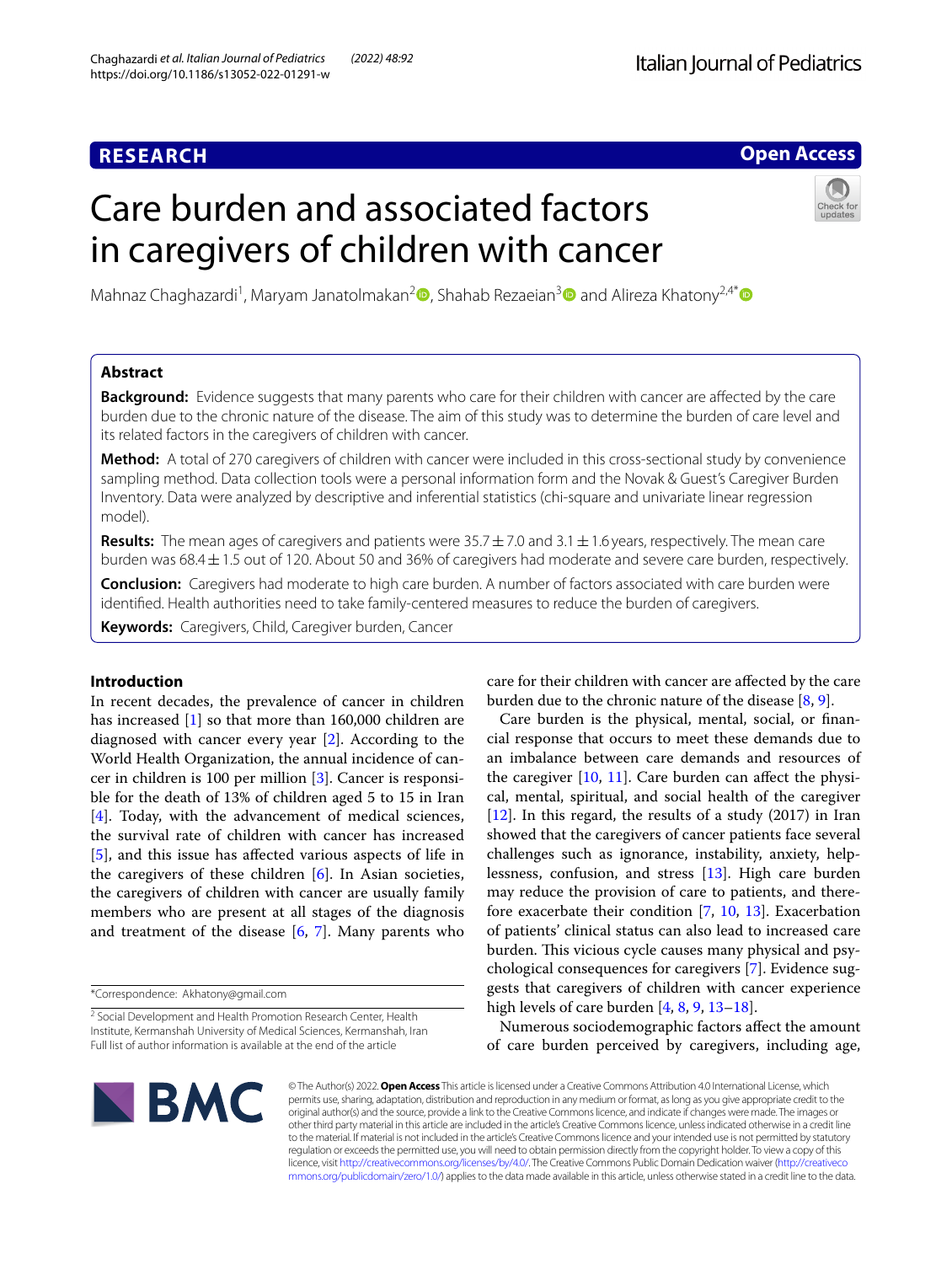# **RESEARCH**

## **Open Access**

# Care burden and associated factors in caregivers of children with cancer



Mahnaz Chaghazardi<sup>1</sup>[,](https://orcid.org/0000-0003-1450-1554) Maryam Janatolmakan<sup>2</sup> , Shahab Rezaeian<sup>3</sup> and Alireza Khatony<sup>2,4\*</sup> <sup>•</sup>

## **Abstract**

**Background:** Evidence suggests that many parents who care for their children with cancer are afected by the care burden due to the chronic nature of the disease. The aim of this study was to determine the burden of care level and its related factors in the caregivers of children with cancer.

**Method:** A total of 270 caregivers of children with cancer were included in this cross-sectional study by convenience sampling method. Data collection tools were a personal information form and the Novak & Guest's Caregiver Burden Inventory. Data were analyzed by descriptive and inferential statistics (chi-square and univariate linear regression model).

**Results:** The mean ages of caregivers and patients were 35.7±7.0 and 3.1±1.6 years, respectively. The mean care burden was 68.4±1.5 out of 120. About 50 and 36% of caregivers had moderate and severe care burden, respectively.

**Conclusion:** Caregivers had moderate to high care burden. A number of factors associated with care burden were identifed. Health authorities need to take family-centered measures to reduce the burden of caregivers.

**Keywords:** Caregivers, Child, Caregiver burden, Cancer

## **Introduction**

In recent decades, the prevalence of cancer in children has increased [[1](#page-5-0)] so that more than 160,000 children are diagnosed with cancer every year [\[2\]](#page-5-1). According to the World Health Organization, the annual incidence of cancer in children is 100 per million [[3\]](#page-5-2). Cancer is responsible for the death of 13% of children aged 5 to 15 in Iran [[4\]](#page-5-3). Today, with the advancement of medical sciences, the survival rate of children with cancer has increased [[5\]](#page-5-4), and this issue has afected various aspects of life in the caregivers of these children [\[6](#page-5-5)]. In Asian societies, the caregivers of children with cancer are usually family members who are present at all stages of the diagnosis and treatment of the disease  $[6, 7]$  $[6, 7]$  $[6, 7]$  $[6, 7]$ . Many parents who

care for their children with cancer are afected by the care burden due to the chronic nature of the disease [\[8](#page-5-7), [9\]](#page-5-8).

Care burden is the physical, mental, social, or fnancial response that occurs to meet these demands due to an imbalance between care demands and resources of the caregiver [[10,](#page-5-9) [11\]](#page-5-10). Care burden can afect the physical, mental, spiritual, and social health of the caregiver [[12\]](#page-5-11). In this regard, the results of a study (2017) in Iran showed that the caregivers of cancer patients face several challenges such as ignorance, instability, anxiety, helplessness, confusion, and stress [\[13](#page-5-12)]. High care burden may reduce the provision of care to patients, and therefore exacerbate their condition [\[7](#page-5-6), [10,](#page-5-9) [13](#page-5-12)]. Exacerbation of patients' clinical status can also lead to increased care burden. This vicious cycle causes many physical and psychological consequences for caregivers [\[7](#page-5-6)]. Evidence suggests that caregivers of children with cancer experience high levels of care burden [[4,](#page-5-3) [8](#page-5-7), [9,](#page-5-8) [13–](#page-5-12)[18\]](#page-5-13).

Numerous sociodemographic factors afect the amount of care burden perceived by caregivers, including age,



© The Author(s) 2022. **Open Access** This article is licensed under a Creative Commons Attribution 4.0 International License, which permits use, sharing, adaptation, distribution and reproduction in any medium or format, as long as you give appropriate credit to the original author(s) and the source, provide a link to the Creative Commons licence, and indicate if changes were made. The images or other third party material in this article are included in the article's Creative Commons licence, unless indicated otherwise in a credit line to the material. If material is not included in the article's Creative Commons licence and your intended use is not permitted by statutory regulation or exceeds the permitted use, you will need to obtain permission directly from the copyright holder. To view a copy of this licence, visit [http://creativecommons.org/licenses/by/4.0/.](http://creativecommons.org/licenses/by/4.0/) The Creative Commons Public Domain Dedication waiver ([http://creativeco](http://creativecommons.org/publicdomain/zero/1.0/) [mmons.org/publicdomain/zero/1.0/](http://creativecommons.org/publicdomain/zero/1.0/)) applies to the data made available in this article, unless otherwise stated in a credit line to the data.

<sup>\*</sup>Correspondence: Akhatony@gmail.com

<sup>&</sup>lt;sup>2</sup> Social Development and Health Promotion Research Center, Health Institute, Kermanshah University of Medical Sciences, Kermanshah, Iran Full list of author information is available at the end of the article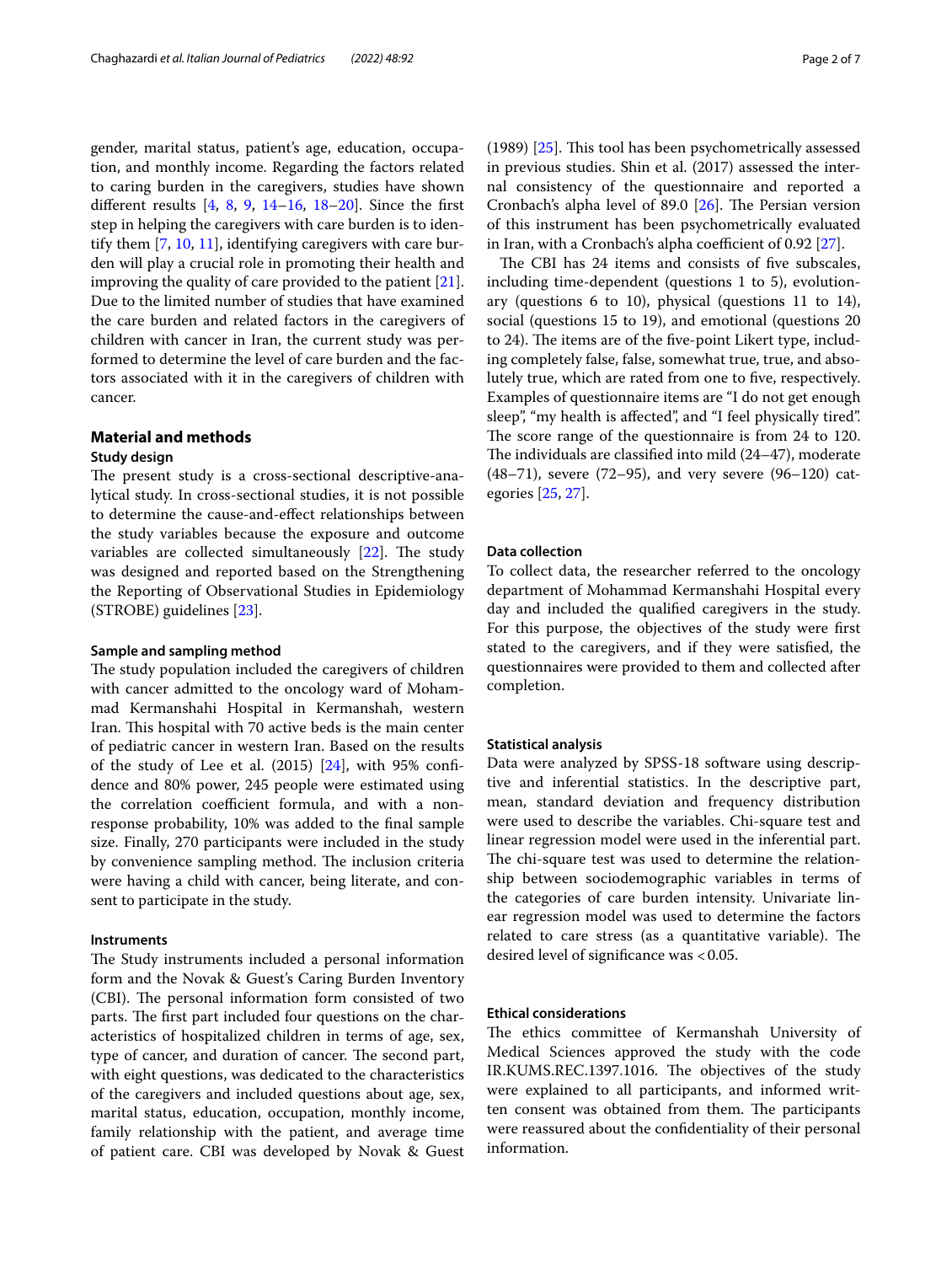gender, marital status, patient's age, education, occupation, and monthly income. Regarding the factors related to caring burden in the caregivers, studies have shown different results  $[4, 8, 9, 14–16, 18–20]$  $[4, 8, 9, 14–16, 18–20]$  $[4, 8, 9, 14–16, 18–20]$  $[4, 8, 9, 14–16, 18–20]$  $[4, 8, 9, 14–16, 18–20]$  $[4, 8, 9, 14–16, 18–20]$  $[4, 8, 9, 14–16, 18–20]$  $[4, 8, 9, 14–16, 18–20]$  $[4, 8, 9, 14–16, 18–20]$  $[4, 8, 9, 14–16, 18–20]$  $[4, 8, 9, 14–16, 18–20]$ . Since the first step in helping the caregivers with care burden is to identify them [[7,](#page-5-6) [10](#page-5-9), [11](#page-5-10)], identifying caregivers with care burden will play a crucial role in promoting their health and improving the quality of care provided to the patient [\[21](#page-5-17)]. Due to the limited number of studies that have examined the care burden and related factors in the caregivers of children with cancer in Iran, the current study was performed to determine the level of care burden and the factors associated with it in the caregivers of children with cancer.

## **Material and methods**

#### **Study design**

The present study is a cross-sectional descriptive-analytical study. In cross-sectional studies, it is not possible to determine the cause-and-efect relationships between the study variables because the exposure and outcome variables are collected simultaneously  $[22]$  $[22]$  $[22]$ . The study was designed and reported based on the Strengthening the Reporting of Observational Studies in Epidemiology (STROBE) guidelines [[23\]](#page-5-19).

#### **Sample and sampling method**

The study population included the caregivers of children with cancer admitted to the oncology ward of Mohammad Kermanshahi Hospital in Kermanshah, western Iran. This hospital with 70 active beds is the main center of pediatric cancer in western Iran. Based on the results of the study of Lee et al.  $(2015)$   $[24]$  $[24]$ , with 95% confidence and 80% power, 245 people were estimated using the correlation coefficient formula, and with a nonresponse probability, 10% was added to the fnal sample size. Finally, 270 participants were included in the study by convenience sampling method. The inclusion criteria were having a child with cancer, being literate, and consent to participate in the study.

#### **Instruments**

The Study instruments included a personal information form and the Novak & Guest's Caring Burden Inventory (CBI). The personal information form consisted of two parts. The first part included four questions on the characteristics of hospitalized children in terms of age, sex, type of cancer, and duration of cancer. The second part, with eight questions, was dedicated to the characteristics of the caregivers and included questions about age, sex, marital status, education, occupation, monthly income, family relationship with the patient, and average time of patient care. CBI was developed by Novak & Guest (1989)  $[25]$  $[25]$  $[25]$ . This tool has been psychometrically assessed in previous studies. Shin et al. (2017) assessed the internal consistency of the questionnaire and reported a Cronbach's alpha level of 89.0  $[26]$  $[26]$ . The Persian version of this instrument has been psychometrically evaluated in Iran, with a Cronbach's alpha coefficient of  $0.92$  [ $27$ ].

The CBI has 24 items and consists of five subscales, including time-dependent (questions 1 to 5), evolutionary (questions 6 to 10), physical (questions 11 to 14), social (questions 15 to 19), and emotional (questions 20 to 24). The items are of the five-point Likert type, including completely false, false, somewhat true, true, and absolutely true, which are rated from one to fve, respectively. Examples of questionnaire items are "I do not get enough sleep", "my health is affected", and "I feel physically tired". The score range of the questionnaire is from 24 to 120. The individuals are classified into mild  $(24-47)$ , moderate (48–71), severe (72–95), and very severe (96–120) categories [\[25](#page-5-21), [27\]](#page-6-0).

## **Data collection**

To collect data, the researcher referred to the oncology department of Mohammad Kermanshahi Hospital every day and included the qualifed caregivers in the study. For this purpose, the objectives of the study were frst stated to the caregivers, and if they were satisfed, the questionnaires were provided to them and collected after completion.

#### **Statistical analysis**

Data were analyzed by SPSS-18 software using descriptive and inferential statistics. In the descriptive part, mean, standard deviation and frequency distribution were used to describe the variables. Chi-square test and linear regression model were used in the inferential part. The chi-square test was used to determine the relationship between sociodemographic variables in terms of the categories of care burden intensity. Univariate linear regression model was used to determine the factors related to care stress (as a quantitative variable). The desired level of significance was <0.05.

## **Ethical considerations**

The ethics committee of Kermanshah University of Medical Sciences approved the study with the code IR.KUMS.REC.1397.1016. The objectives of the study were explained to all participants, and informed written consent was obtained from them. The participants were reassured about the confdentiality of their personal information.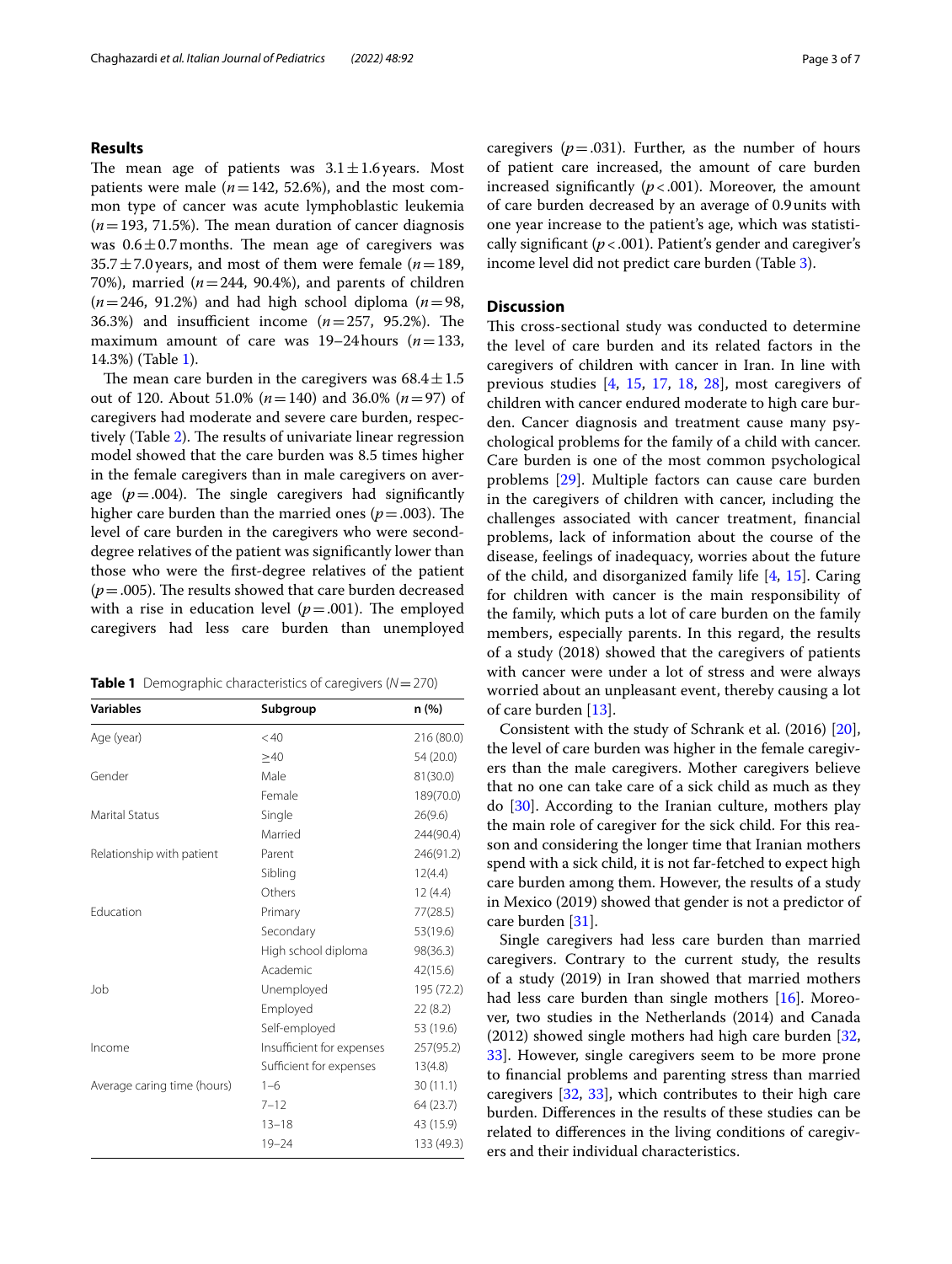## **Results**

The mean age of patients was  $3.1 \pm 1.6$  vears. Most patients were male  $(n=142, 52.6\%)$ , and the most common type of cancer was acute lymphoblastic leukemia  $(n=193, 71.5%)$ . The mean duration of cancer diagnosis was  $0.6 \pm 0.7$  months. The mean age of caregivers was  $35.7 \pm 7.0$  years, and most of them were female ( $n=189$ , 70%), married  $(n=244, 90.4)$ , and parents of children  $(n=246, 91.2%)$  and had high school diploma  $(n=98, 10.2%)$ 36.3%) and insufficient income  $(n=257, 95.2)$ . The maximum amount of care was 19–24hours (*n*=133, 14.3%) (Table [1\)](#page-2-0).

The mean care burden in the caregivers was  $68.4 \pm 1.5$ out of 120. About 51.0% (*n*=140) and 36.0% (*n*=97) of caregivers had moderate and severe care burden, respec-tively (Table [2\)](#page-3-0). The results of univariate linear regression model showed that the care burden was 8.5 times higher in the female caregivers than in male caregivers on average  $(p=.004)$ . The single caregivers had significantly higher care burden than the married ones  $(p=.003)$ . The level of care burden in the caregivers who were seconddegree relatives of the patient was signifcantly lower than those who were the frst-degree relatives of the patient  $(p=.005)$ . The results showed that care burden decreased with a rise in education level  $(p=.001)$ . The employed caregivers had less care burden than unemployed

<span id="page-2-0"></span>

|  |  | <b>Table 1</b> Demographic characteristics of caregivers ( $N = 270$ ) |  |  |
|--|--|------------------------------------------------------------------------|--|--|
|--|--|------------------------------------------------------------------------|--|--|

| Subgroup                  | n(%)       |
|---------------------------|------------|
| < 40                      | 216 (80.0) |
| $\geq 40$                 | 54 (20.0)  |
| Male                      | 81(30.0)   |
| Female                    | 189(70.0)  |
| Single                    | 26(9.6)    |
| Married                   | 244(90.4)  |
| Parent                    | 246(91.2)  |
| Sibling                   | 12(4.4)    |
| Others                    | 12(4.4)    |
| Primary                   | 77(28.5)   |
| Secondary                 | 53(19.6)   |
| High school diploma       | 98(36.3)   |
| Academic                  | 42(15.6)   |
| Unemployed                | 195 (72.2) |
| Employed                  | 22(8.2)    |
| Self-employed             | 53 (19.6)  |
| Insufficient for expenses | 257(95.2)  |
| Sufficient for expenses   | 13(4.8)    |
| $1 - 6$                   | 30(11.1)   |
| $7 - 12$                  | 64 (23.7)  |
| $13 - 18$                 | 43 (15.9)  |
| $19 - 24$                 | 133 (49.3) |
|                           |            |

caregivers  $(p=.031)$ . Further, as the number of hours of patient care increased, the amount of care burden increased significantly  $(p < .001)$ . Moreover, the amount of care burden decreased by an average of 0.9units with one year increase to the patient's age, which was statistically significant  $(p < .001)$ . Patient's gender and caregiver's income level did not predict care burden (Table [3](#page-4-0)).

## **Discussion**

This cross-sectional study was conducted to determine the level of care burden and its related factors in the caregivers of children with cancer in Iran. In line with previous studies [\[4](#page-5-3), [15,](#page-5-23) [17,](#page-5-24) [18](#page-5-13), [28](#page-6-1)], most caregivers of children with cancer endured moderate to high care burden. Cancer diagnosis and treatment cause many psychological problems for the family of a child with cancer. Care burden is one of the most common psychological problems [[29\]](#page-6-2). Multiple factors can cause care burden in the caregivers of children with cancer, including the challenges associated with cancer treatment, fnancial problems, lack of information about the course of the disease, feelings of inadequacy, worries about the future of the child, and disorganized family life [\[4](#page-5-3), [15\]](#page-5-23). Caring for children with cancer is the main responsibility of the family, which puts a lot of care burden on the family members, especially parents. In this regard, the results of a study (2018) showed that the caregivers of patients with cancer were under a lot of stress and were always worried about an unpleasant event, thereby causing a lot of care burden [\[13](#page-5-12)].

Consistent with the study of Schrank et al. (2016) [\[20](#page-5-16)], the level of care burden was higher in the female caregivers than the male caregivers. Mother caregivers believe that no one can take care of a sick child as much as they do [\[30\]](#page-6-3). According to the Iranian culture, mothers play the main role of caregiver for the sick child. For this reason and considering the longer time that Iranian mothers spend with a sick child, it is not far-fetched to expect high care burden among them. However, the results of a study in Mexico (2019) showed that gender is not a predictor of care burden [\[31\]](#page-6-4).

Single caregivers had less care burden than married caregivers. Contrary to the current study, the results of a study (2019) in Iran showed that married mothers had less care burden than single mothers [\[16\]](#page-5-15). Moreover, two studies in the Netherlands (2014) and Canada (2012) showed single mothers had high care burden [[32](#page-6-5), [33\]](#page-6-6). However, single caregivers seem to be more prone to fnancial problems and parenting stress than married caregivers [[32](#page-6-5), [33\]](#page-6-6), which contributes to their high care burden. Diferences in the results of these studies can be related to diferences in the living conditions of caregivers and their individual characteristics.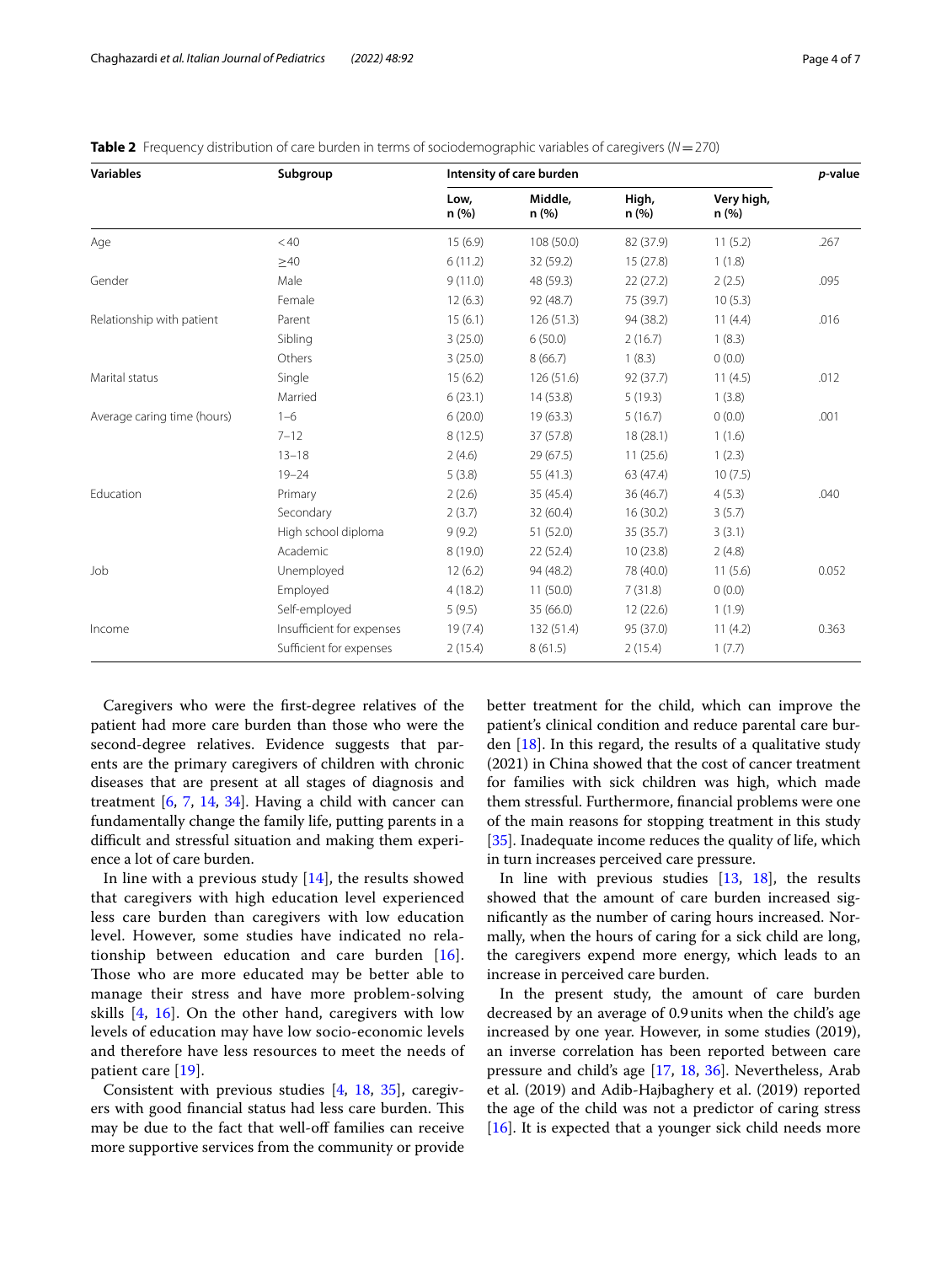| <b>Variables</b>            | Subgroup                  | Intensity of care burden |                 |                |                    | p-value |
|-----------------------------|---------------------------|--------------------------|-----------------|----------------|--------------------|---------|
|                             |                           | Low,<br>n(%)             | Middle,<br>n(%) | High,<br>n (%) | Very high,<br>n(%) |         |
| Age                         | < 40                      | 15(6.9)                  | 108 (50.0)      | 82 (37.9)      | 11(5.2)            | .267    |
|                             | $\geq 40$                 | 6(11.2)                  | 32 (59.2)       | 15(27.8)       | 1(1.8)             |         |
| Gender                      | Male                      | 9(11.0)                  | 48 (59.3)       | 22(27.2)       | 2(2.5)             | .095    |
|                             | Female                    | 12(6.3)                  | 92 (48.7)       | 75 (39.7)      | 10(5.3)            |         |
| Relationship with patient   | Parent                    | 15(6.1)                  | 126(51.3)       | 94 (38.2)      | 11(4.4)            | .016    |
|                             | Sibling                   | 3(25.0)                  | 6(50.0)         | 2(16.7)        | 1(8.3)             |         |
|                             | Others                    | 3(25.0)                  | 8(66.7)         | 1(8.3)         | 0(0.0)             |         |
| Marital status              | Single                    | 15(6.2)                  | 126(51.6)       | 92 (37.7)      | 11(4.5)            | .012    |
|                             | Married                   | 6(23.1)                  | 14 (53.8)       | 5(19.3)        | 1(3.8)             |         |
| Average caring time (hours) | $1 - 6$                   | 6(20.0)                  | 19(63.3)        | 5(16.7)        | 0(0.0)             | .001    |
|                             | $7 - 12$                  | 8(12.5)                  | 37 (57.8)       | 18(28.1)       | 1(1.6)             |         |
|                             | $13 - 18$                 | 2(4.6)                   | 29(67.5)        | 11(25.6)       | 1(2.3)             |         |
|                             | $19 - 24$                 | 5(3.8)                   | 55 (41.3)       | 63 (47.4)      | 10(7.5)            |         |
| Education                   | Primary                   | 2(2.6)                   | 35 (45.4)       | 36(46.7)       | 4(5.3)             | .040    |
|                             | Secondary                 | 2(3.7)                   | 32 (60.4)       | 16(30.2)       | 3(5.7)             |         |
|                             | High school diploma       | 9(9.2)                   | 51 (52.0)       | 35(35.7)       | 3(3.1)             |         |
|                             | Academic                  | 8(19.0)                  | 22(52.4)        | 10(23.8)       | 2(4.8)             |         |
| Job                         | Unemployed                | 12(6.2)                  | 94 (48.2)       | 78 (40.0)      | 11(5.6)            | 0.052   |
|                             | Employed                  | 4(18.2)                  | 11(50.0)        | 7(31.8)        | 0(0.0)             |         |
|                             | Self-employed             | 5(9.5)                   | 35 (66.0)       | 12(22.6)       | 1(1.9)             |         |
| Income                      | Insufficient for expenses | 19(7.4)                  | 132 (51.4)      | 95 (37.0)      | 11(4.2)            | 0.363   |
|                             | Sufficient for expenses   | 2(15.4)                  | 8(61.5)         | 2(15.4)        | 1(7.7)             |         |

<span id="page-3-0"></span>**Table 2** Frequency distribution of care burden in terms of sociodemographic variables of caregivers (*N*=270)

Caregivers who were the frst-degree relatives of the patient had more care burden than those who were the second-degree relatives. Evidence suggests that parents are the primary caregivers of children with chronic diseases that are present at all stages of diagnosis and treatment  $[6, 7, 14, 34]$  $[6, 7, 14, 34]$  $[6, 7, 14, 34]$  $[6, 7, 14, 34]$  $[6, 7, 14, 34]$  $[6, 7, 14, 34]$  $[6, 7, 14, 34]$  $[6, 7, 14, 34]$  $[6, 7, 14, 34]$ . Having a child with cancer can fundamentally change the family life, putting parents in a difficult and stressful situation and making them experience a lot of care burden.

In line with a previous study [[14\]](#page-5-14), the results showed that caregivers with high education level experienced less care burden than caregivers with low education level. However, some studies have indicated no relationship between education and care burden [[16\]](#page-5-15). Those who are more educated may be better able to manage their stress and have more problem-solving skills [\[4](#page-5-3), [16\]](#page-5-15). On the other hand, caregivers with low levels of education may have low socio-economic levels and therefore have less resources to meet the needs of patient care [\[19](#page-5-25)].

Consistent with previous studies [[4,](#page-5-3) [18,](#page-5-13) [35](#page-6-8)], caregivers with good financial status had less care burden. This may be due to the fact that well-off families can receive more supportive services from the community or provide better treatment for the child, which can improve the patient's clinical condition and reduce parental care burden  $[18]$ . In this regard, the results of a qualitative study (2021) in China showed that the cost of cancer treatment for families with sick children was high, which made them stressful. Furthermore, fnancial problems were one of the main reasons for stopping treatment in this study [[35\]](#page-6-8). Inadequate income reduces the quality of life, which in turn increases perceived care pressure.

In line with previous studies [[13](#page-5-12), [18\]](#page-5-13), the results showed that the amount of care burden increased signifcantly as the number of caring hours increased. Normally, when the hours of caring for a sick child are long, the caregivers expend more energy, which leads to an increase in perceived care burden.

In the present study, the amount of care burden decreased by an average of 0.9units when the child's age increased by one year. However, in some studies (2019), an inverse correlation has been reported between care pressure and child's age [\[17](#page-5-24), [18,](#page-5-13) [36\]](#page-6-9). Nevertheless, Arab et al. (2019) and Adib-Hajbaghery et al. (2019) reported the age of the child was not a predictor of caring stress [[16\]](#page-5-15). It is expected that a younger sick child needs more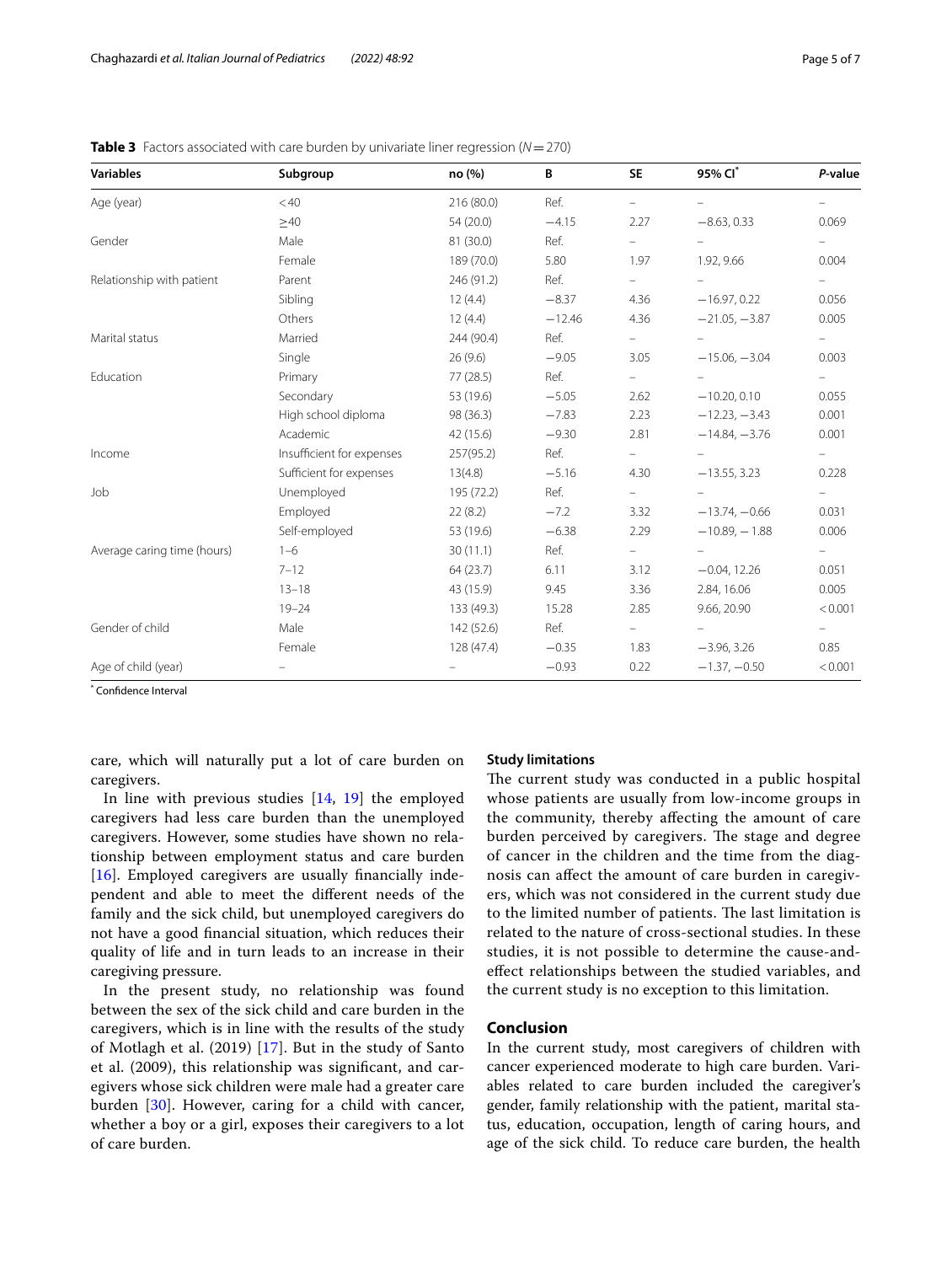| <b>Variables</b>            | Subgroup                  | no (%)     | B        | <b>SE</b>     | 95% Cl*         | P-value                  |
|-----------------------------|---------------------------|------------|----------|---------------|-----------------|--------------------------|
| Age (year)                  | < 40                      | 216(80.0)  | Ref.     |               |                 |                          |
|                             | $\geq 40$                 | 54 (20.0)  | $-4.15$  | 2.27          | $-8.63, 0.33$   | 0.069                    |
| Gender                      | Male                      | 81 (30.0)  | Ref.     | $-$           |                 | $-$                      |
|                             | Female                    | 189 (70.0) | 5.80     | 1.97          | 1.92, 9.66      | 0.004                    |
| Relationship with patient   | Parent                    | 246 (91.2) | Ref.     | $-$           |                 | $\equiv$                 |
|                             | Sibling                   | 12(4.4)    | $-8.37$  | 4.36          | $-16.97, 0.22$  | 0.056                    |
|                             | Others                    | 12(4.4)    | $-12.46$ | 4.36          | $-21.05, -3.87$ | 0.005                    |
| Marital status              | Married                   | 244 (90.4) | Ref.     | $\frac{1}{2}$ |                 | $\overline{\phantom{a}}$ |
|                             | Single                    | 26(9.6)    | $-9.05$  | 3.05          | $-15.06, -3.04$ | 0.003                    |
| Education                   | Primary                   | 77(28.5)   | Ref.     | $\frac{1}{2}$ |                 | $\frac{1}{2}$            |
|                             | Secondary                 | 53 (19.6)  | $-5.05$  | 2.62          | $-10.20, 0.10$  | 0.055                    |
|                             | High school diploma       | 98 (36.3)  | $-7.83$  | 2.23          | $-12.23, -3.43$ | 0.001                    |
|                             | Academic                  | 42 (15.6)  | $-9.30$  | 2.81          | $-14.84, -3.76$ | 0.001                    |
| Income                      | Insufficient for expenses | 257(95.2)  | Ref.     |               |                 | $\sim$                   |
|                             | Sufficient for expenses   | 13(4.8)    | $-5.16$  | 4.30          | $-13.55, 3.23$  | 0.228                    |
| Job                         | Unemployed                | 195 (72.2) | Ref.     | $\sim$        | $\equiv$        | $\frac{1}{2}$            |
|                             | Employed                  | 22(8.2)    | $-7.2$   | 3.32          | $-13.74, -0.66$ | 0.031                    |
|                             | Self-employed             | 53 (19.6)  | $-6.38$  | 2.29          | $-10.89, -1.88$ | 0.006                    |
| Average caring time (hours) | $1 - 6$                   | 30(11.1)   | Ref.     |               |                 |                          |
|                             | $7 - 12$                  | 64(23.7)   | 6.11     | 3.12          | $-0.04, 12.26$  | 0.051                    |
|                             | $13 - 18$                 | 43 (15.9)  | 9.45     | 3.36          | 2.84, 16.06     | 0.005                    |
|                             | $19 - 24$                 | 133 (49.3) | 15.28    | 2.85          | 9.66, 20.90     | < 0.001                  |
| Gender of child             | Male                      | 142(52.6)  | Ref.     |               |                 | $-$                      |
|                             | Female                    | 128(47.4)  | $-0.35$  | 1.83          | $-3.96, 3.26$   | 0.85                     |
| Age of child (year)         |                           |            | $-0.93$  | 0.22          | $-1.37, -0.50$  | < 0.001                  |

<span id="page-4-0"></span>**Table 3** Factors associated with care burden by univariate liner regression ( $N=270$ )

\* Confdence Interval

care, which will naturally put a lot of care burden on caregivers.

In line with previous studies [[14,](#page-5-14) [19\]](#page-5-25) the employed caregivers had less care burden than the unemployed caregivers. However, some studies have shown no relationship between employment status and care burden [[16\]](#page-5-15). Employed caregivers are usually financially independent and able to meet the diferent needs of the family and the sick child, but unemployed caregivers do not have a good fnancial situation, which reduces their quality of life and in turn leads to an increase in their caregiving pressure.

In the present study, no relationship was found between the sex of the sick child and care burden in the caregivers, which is in line with the results of the study of Motlagh et al. (2019) [\[17](#page-5-24)]. But in the study of Santo et al. (2009), this relationship was signifcant, and caregivers whose sick children were male had a greater care burden [\[30](#page-6-3)]. However, caring for a child with cancer, whether a boy or a girl, exposes their caregivers to a lot of care burden.

#### **Study limitations**

The current study was conducted in a public hospital whose patients are usually from low-income groups in the community, thereby afecting the amount of care burden perceived by caregivers. The stage and degree of cancer in the children and the time from the diagnosis can afect the amount of care burden in caregivers, which was not considered in the current study due to the limited number of patients. The last limitation is related to the nature of cross-sectional studies. In these studies, it is not possible to determine the cause-andefect relationships between the studied variables, and the current study is no exception to this limitation.

## **Conclusion**

In the current study, most caregivers of children with cancer experienced moderate to high care burden. Variables related to care burden included the caregiver's gender, family relationship with the patient, marital status, education, occupation, length of caring hours, and age of the sick child. To reduce care burden, the health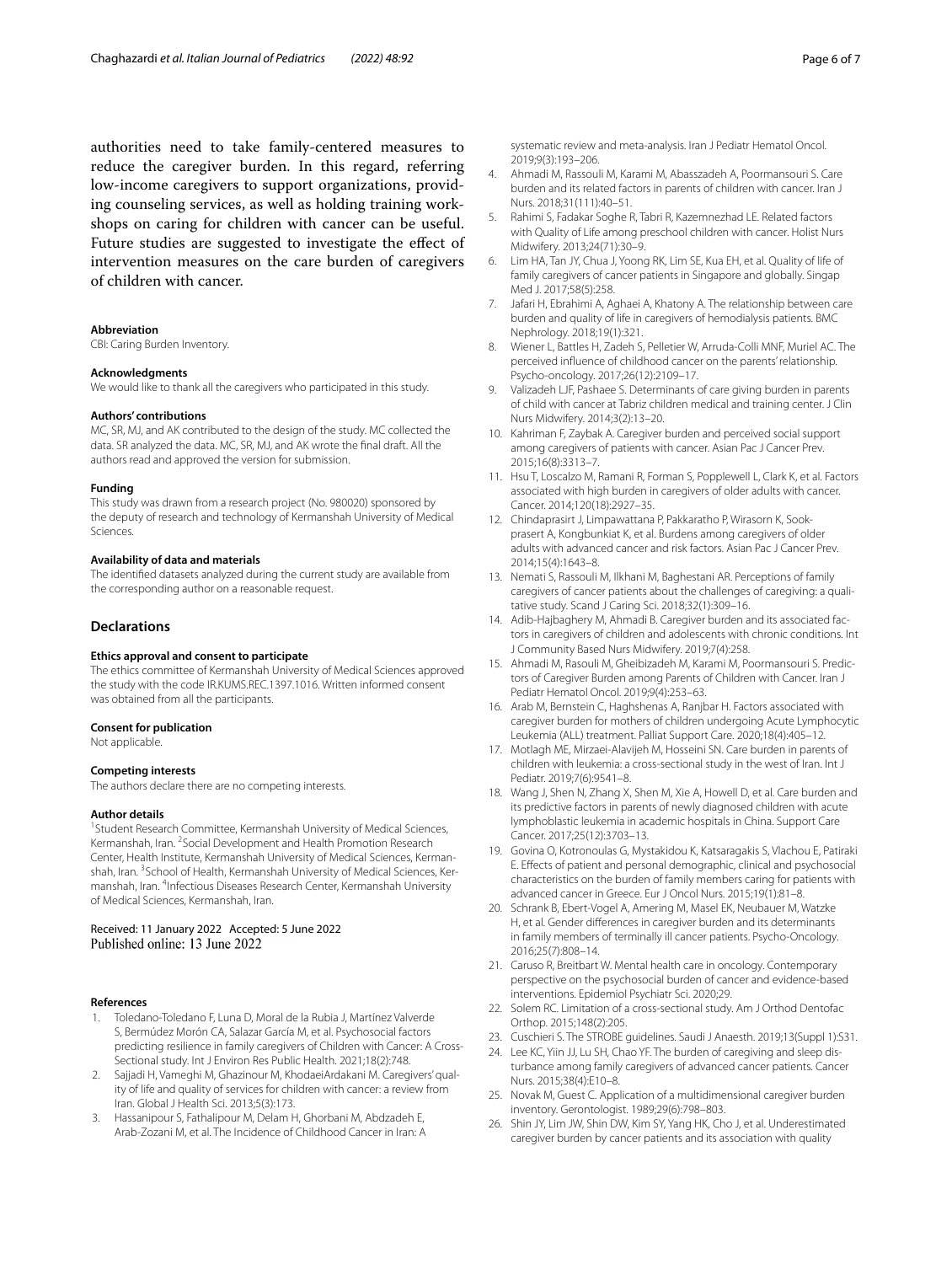authorities need to take family-centered measures to reduce the caregiver burden. In this regard, referring low-income caregivers to support organizations, providing counseling services, as well as holding training workshops on caring for children with cancer can be useful. Future studies are suggested to investigate the effect of intervention measures on the care burden of caregivers of children with cancer.

#### **Abbreviation**

CBI: Caring Burden Inventory.

#### **Acknowledgments**

We would like to thank all the caregivers who participated in this study.

#### **Authors' contributions**

MC, SR, MJ, and AK contributed to the design of the study. MC collected the data. SR analyzed the data. MC, SR, MJ, and AK wrote the fnal draft. All the authors read and approved the version for submission.

#### **Funding**

This study was drawn from a research project (No. 980020) sponsored by the deputy of research and technology of Kermanshah University of Medical Sciences.

#### **Availability of data and materials**

The identifed datasets analyzed during the current study are available from the corresponding author on a reasonable request.

#### **Declarations**

#### **Ethics approval and consent to participate**

The ethics committee of Kermanshah University of Medical Sciences approved the study with the code IR.KUMS.REC.1397.1016. Written informed consent was obtained from all the participants.

#### **Consent for publication**

Not applicable.

#### **Competing interests**

The authors declare there are no competing interests.

#### **Author details**

<sup>1</sup> Student Research Committee, Kermanshah University of Medical Sciences, Kermanshah, Iran. <sup>2</sup> Social Development and Health Promotion Research Center, Health Institute, Kermanshah University of Medical Sciences, Kermanshah, Iran. <sup>3</sup>School of Health, Kermanshah University of Medical Sciences, Kermanshah, Iran. <sup>4</sup>Infectious Diseases Research Center, Kermanshah University of Medical Sciences, Kermanshah, Iran.

Received: 11 January 2022 Accepted: 5 June 2022<br>Published online: 13 June 2022

#### **References**

- <span id="page-5-0"></span>1. Toledano-Toledano F, Luna D, Moral de la Rubia J, Martínez Valverde S, Bermúdez Morón CA, Salazar García M, et al. Psychosocial factors predicting resilience in family caregivers of Children with Cancer: A Cross-Sectional study. Int J Environ Res Public Health. 2021;18(2):748.
- <span id="page-5-1"></span>2. Sajjadi H, Vameghi M, Ghazinour M, KhodaeiArdakani M. Caregivers' quality of life and quality of services for children with cancer: a review from Iran. Global J Health Sci. 2013;5(3):173.
- <span id="page-5-2"></span>3. Hassanipour S, Fathalipour M, Delam H, Ghorbani M, Abdzadeh E, Arab-Zozani M, et al. The Incidence of Childhood Cancer in Iran: A

systematic review and meta-analysis. Iran J Pediatr Hematol Oncol. 2019;9(3):193–206.

- <span id="page-5-3"></span>4. Ahmadi M, Rassouli M, Karami M, Abasszadeh A, Poormansouri S. Care burden and its related factors in parents of children with cancer. Iran J Nurs. 2018;31(111):40–51.
- <span id="page-5-4"></span>5. Rahimi S, Fadakar Soghe R, Tabri R, Kazemnezhad LE. Related factors with Quality of Life among preschool children with cancer. Holist Nurs Midwifery. 2013;24(71):30–9.
- <span id="page-5-5"></span>6. Lim HA, Tan JY, Chua J, Yoong RK, Lim SE, Kua EH, et al. Quality of life of family caregivers of cancer patients in Singapore and globally. Singap Med J. 2017;58(5):258.
- <span id="page-5-6"></span>7. Jafari H, Ebrahimi A, Aghaei A, Khatony A. The relationship between care burden and quality of life in caregivers of hemodialysis patients. BMC Nephrology. 2018;19(1):321.
- <span id="page-5-7"></span>8. Wiener L, Battles H, Zadeh S, Pelletier W, Arruda-Colli MNF, Muriel AC. The perceived infuence of childhood cancer on the parents' relationship. Psycho-oncology. 2017;26(12):2109–17.
- <span id="page-5-8"></span>9. Valizadeh LJF, Pashaee S. Determinants of care giving burden in parents of child with cancer at Tabriz children medical and training center. J Clin Nurs Midwifery. 2014;3(2):13–20.
- <span id="page-5-9"></span>10. Kahriman F, Zaybak A. Caregiver burden and perceived social support among caregivers of patients with cancer. Asian Pac J Cancer Prev. 2015;16(8):3313–7.
- <span id="page-5-10"></span>11. Hsu T, Loscalzo M, Ramani R, Forman S, Popplewell L, Clark K, et al. Factors associated with high burden in caregivers of older adults with cancer. Cancer. 2014;120(18):2927–35.
- <span id="page-5-11"></span>12. Chindaprasirt J, Limpawattana P, Pakkaratho P, Wirasorn K, Sookprasert A, Kongbunkiat K, et al. Burdens among caregivers of older adults with advanced cancer and risk factors. Asian Pac J Cancer Prev. 2014;15(4):1643–8.
- <span id="page-5-12"></span>13. Nemati S, Rassouli M, Ilkhani M, Baghestani AR. Perceptions of family caregivers of cancer patients about the challenges of caregiving: a qualitative study. Scand J Caring Sci. 2018;32(1):309–16.
- <span id="page-5-14"></span>14. Adib-Hajbaghery M, Ahmadi B. Caregiver burden and its associated factors in caregivers of children and adolescents with chronic conditions. Int J Community Based Nurs Midwifery. 2019;7(4):258.
- <span id="page-5-23"></span>15. Ahmadi M, Rasouli M, Gheibizadeh M, Karami M, Poormansouri S. Predictors of Caregiver Burden among Parents of Children with Cancer. Iran J Pediatr Hematol Oncol. 2019;9(4):253–63.
- <span id="page-5-15"></span>16. Arab M, Bernstein C, Haghshenas A, Ranjbar H. Factors associated with caregiver burden for mothers of children undergoing Acute Lymphocytic Leukemia (ALL) treatment. Palliat Support Care. 2020;18(4):405–12.
- <span id="page-5-24"></span>17. Motlagh ME, Mirzaei-Alavijeh M, Hosseini SN. Care burden in parents of children with leukemia: a cross-sectional study in the west of Iran. Int J Pediatr. 2019;7(6):9541–8.
- <span id="page-5-13"></span>18. Wang J, Shen N, Zhang X, Shen M, Xie A, Howell D, et al. Care burden and its predictive factors in parents of newly diagnosed children with acute lymphoblastic leukemia in academic hospitals in China. Support Care Cancer. 2017;25(12):3703–13.
- <span id="page-5-25"></span>19. Govina O, Kotronoulas G, Mystakidou K, Katsaragakis S, Vlachou E, Patiraki E. Efects of patient and personal demographic, clinical and psychosocial characteristics on the burden of family members caring for patients with advanced cancer in Greece. Eur J Oncol Nurs. 2015;19(1):81–8.
- <span id="page-5-16"></span>20. Schrank B, Ebert-Vogel A, Amering M, Masel EK, Neubauer M, Watzke H, et al. Gender diferences in caregiver burden and its determinants in family members of terminally ill cancer patients. Psycho-Oncology. 2016;25(7):808–14.
- <span id="page-5-17"></span>21. Caruso R, Breitbart W. Mental health care in oncology. Contemporary perspective on the psychosocial burden of cancer and evidence-based interventions. Epidemiol Psychiatr Sci. 2020;29.
- <span id="page-5-18"></span>22. Solem RC. Limitation of a cross-sectional study. Am J Orthod Dentofac Orthop. 2015;148(2):205.
- <span id="page-5-19"></span>23. Cuschieri S. The STROBE guidelines. Saudi J Anaesth. 2019;13(Suppl 1):S31.
- <span id="page-5-20"></span>24. Lee KC, Yiin JJ, Lu SH, Chao YF. The burden of caregiving and sleep disturbance among family caregivers of advanced cancer patients. Cancer Nurs. 2015;38(4):E10–8.
- <span id="page-5-21"></span>25. Novak M, Guest C. Application of a multidimensional caregiver burden inventory. Gerontologist. 1989;29(6):798–803.
- <span id="page-5-22"></span>26. Shin JY, Lim JW, Shin DW, Kim SY, Yang HK, Cho J, et al. Underestimated caregiver burden by cancer patients and its association with quality